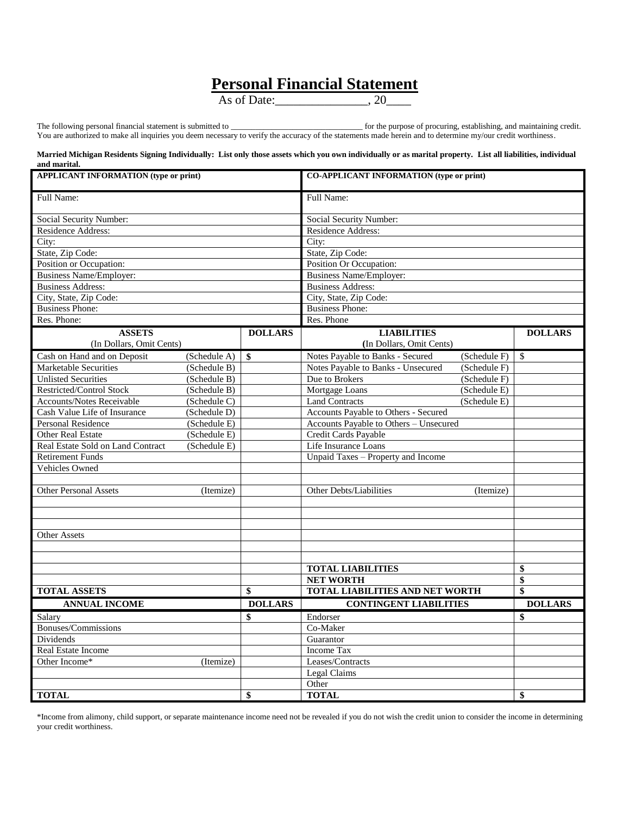## **Personal Financial Statement**

As of Date:  $\overline{20}$ 

The following personal financial statement is submitted to \_\_\_\_\_\_\_\_\_\_\_\_\_\_\_\_\_\_\_\_\_\_\_\_\_\_\_\_\_\_\_\_ for the purpose of procuring, establishing, and maintaining credit. You are authorized to make all inquiries you deem necessary to verify the accuracy of the statements made herein and to determine my/our credit worthiness.

## **Married Michigan Residents Signing Individually: List only those assets which you own individually or as marital property. List all liabilities, individual and marital.**

| <b>APPLICANT INFORMATION (type or print)</b> |              |                | <b>CO-APPLICANT INFORMATION (type or print)</b> |              |                |  |  |  |
|----------------------------------------------|--------------|----------------|-------------------------------------------------|--------------|----------------|--|--|--|
| Full Name:                                   |              |                | Full Name:                                      |              |                |  |  |  |
| Social Security Number:                      |              |                | Social Security Number:                         |              |                |  |  |  |
| <b>Residence Address:</b>                    |              |                | <b>Residence Address:</b>                       |              |                |  |  |  |
| City:                                        |              |                | City:                                           |              |                |  |  |  |
| State, Zip Code:                             |              |                | State, Zip Code:                                |              |                |  |  |  |
| Position or Occupation:                      |              |                | Position Or Occupation:                         |              |                |  |  |  |
| <b>Business Name/Employer:</b>               |              |                | <b>Business Name/Employer:</b>                  |              |                |  |  |  |
| <b>Business Address:</b>                     |              |                | <b>Business Address:</b>                        |              |                |  |  |  |
| City, State, Zip Code:                       |              |                | City, State, Zip Code:                          |              |                |  |  |  |
| <b>Business Phone:</b>                       |              |                | <b>Business Phone:</b>                          |              |                |  |  |  |
| Res. Phone:                                  |              |                | Res. Phone                                      |              |                |  |  |  |
| <b>ASSETS</b>                                |              | <b>DOLLARS</b> | <b>LIABILITIES</b>                              |              | <b>DOLLARS</b> |  |  |  |
| (In Dollars, Omit Cents)                     |              |                | (In Dollars, Omit Cents)                        |              |                |  |  |  |
| Cash on Hand and on Deposit                  | (Schedule A) | $\mathbf{s}$   | Notes Payable to Banks - Secured                | (Schedule F) | \$             |  |  |  |
| <b>Marketable Securities</b>                 | (Schedule B) |                | Notes Payable to Banks - Unsecured              | (Schedule F) |                |  |  |  |
| <b>Unlisted Securities</b>                   | (Schedule B) |                | Due to Brokers                                  | (Schedule F) |                |  |  |  |
| Restricted/Control Stock                     | (Schedule B) |                | Mortgage Loans                                  | (Schedule E) |                |  |  |  |
| Accounts/Notes Receivable                    | (Schedule C) |                | <b>Land Contracts</b>                           | (Schedule E) |                |  |  |  |
| Cash Value Life of Insurance                 | (Schedule D) |                | Accounts Payable to Others - Secured            |              |                |  |  |  |
| <b>Personal Residence</b>                    | (Schedule E) |                | Accounts Payable to Others - Unsecured          |              |                |  |  |  |
| <b>Other Real Estate</b>                     | (Schedule E) |                | Credit Cards Payable                            |              |                |  |  |  |
| Real Estate Sold on Land Contract            | (Schedule E) |                | Life Insurance Loans                            |              |                |  |  |  |
| <b>Retirement Funds</b>                      |              |                | Unpaid Taxes - Property and Income              |              |                |  |  |  |
| Vehicles Owned                               |              |                |                                                 |              |                |  |  |  |
|                                              |              |                |                                                 |              |                |  |  |  |
| <b>Other Personal Assets</b>                 | (Itemize)    |                | Other Debts/Liabilities                         | (Itemize)    |                |  |  |  |
|                                              |              |                |                                                 |              |                |  |  |  |
|                                              |              |                |                                                 |              |                |  |  |  |
|                                              |              |                |                                                 |              |                |  |  |  |
| <b>Other Assets</b>                          |              |                |                                                 |              |                |  |  |  |
|                                              |              |                |                                                 |              |                |  |  |  |
|                                              |              |                |                                                 |              |                |  |  |  |
|                                              |              |                | <b>TOTAL LIABILITIES</b>                        |              | \$             |  |  |  |
|                                              |              |                | <b>NET WORTH</b>                                |              | \$             |  |  |  |
| <b>TOTAL ASSETS</b>                          |              | \$             | TOTAL LIABILITIES AND NET WORTH                 |              | \$             |  |  |  |
| <b>ANNUAL INCOME</b>                         |              | <b>DOLLARS</b> | <b>CONTINGENT LIABILITIES</b>                   |              | <b>DOLLARS</b> |  |  |  |
| Salary                                       |              | \$             | Endorser                                        |              | \$             |  |  |  |
| Bonuses/Commissions                          |              |                | Co-Maker                                        |              |                |  |  |  |
| Dividends                                    |              |                | Guarantor                                       |              |                |  |  |  |
| Real Estate Income                           |              |                | Income Tax                                      |              |                |  |  |  |
| Other Income*                                | (Itemize)    |                | Leases/Contracts                                |              |                |  |  |  |
|                                              |              |                | Legal Claims                                    |              |                |  |  |  |
|                                              |              |                | Other                                           |              |                |  |  |  |
| <b>TOTAL</b>                                 |              | \$             | <b>TOTAL</b>                                    |              | \$             |  |  |  |

\*Income from alimony, child support, or separate maintenance income need not be revealed if you do not wish the credit union to consider the income in determining your credit worthiness.